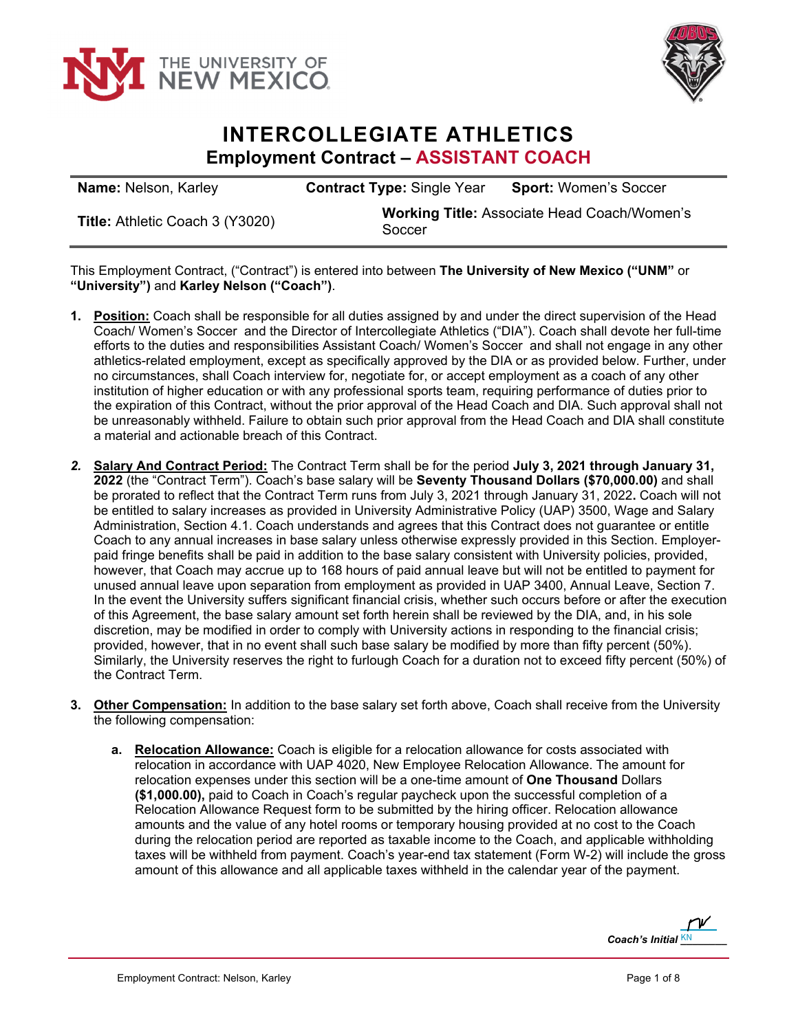



## **INTERCOLLEGIATE ATHLETICS Employment Contract – ASSISTANT COACH**

| <b>Name: Nelson, Karley</b>            | <b>Contract Type: Single Year</b>                            | <b>Sport: Women's Soccer</b> |
|----------------------------------------|--------------------------------------------------------------|------------------------------|
| <b>Title: Athletic Coach 3 (Y3020)</b> | <b>Working Title: Associate Head Coach/Women's</b><br>Soccer |                              |

This Employment Contract, ("Contract") is entered into between **The University of New Mexico ("UNM"** or **"University")** and **Karley Nelson ("Coach")**.

- **1. Position:** Coach shall be responsible for all duties assigned by and under the direct supervision of the Head Coach/ Women's Soccer and the Director of Intercollegiate Athletics ("DIA"). Coach shall devote her full-time efforts to the duties and responsibilities Assistant Coach/ Women's Soccer and shall not engage in any other athletics-related employment, except as specifically approved by the DIA or as provided below. Further, under no circumstances, shall Coach interview for, negotiate for, or accept employment as a coach of any other institution of higher education or with any professional sports team, requiring performance of duties prior to the expiration of this Contract, without the prior approval of the Head Coach and DIA. Such approval shall not be unreasonably withheld. Failure to obtain such prior approval from the Head Coach and DIA shall constitute a material and actionable breach of this Contract.
- *2.* **Salary And Contract Period:** The Contract Term shall be for the period **July 3, 2021 through January 31, 2022** (the "Contract Term"). Coach's base salary will be **Seventy Thousand Dollars (\$70,000.00)** and shall be prorated to reflect that the Contract Term runs from July 3, 2021 through January 31, 2022**.** Coach will not be entitled to salary increases as provided in University Administrative Policy (UAP) 3500, Wage and Salary Administration, Section 4.1. Coach understands and agrees that this Contract does not guarantee or entitle Coach to any annual increases in base salary unless otherwise expressly provided in this Section. Employerpaid fringe benefits shall be paid in addition to the base salary consistent with University policies, provided, however, that Coach may accrue up to 168 hours of paid annual leave but will not be entitled to payment for unused annual leave upon separation from employment as provided in UAP 3400, Annual Leave, Section 7. In the event the University suffers significant financial crisis, whether such occurs before or after the execution of this Agreement, the base salary amount set forth herein shall be reviewed by the DIA, and, in his sole discretion, may be modified in order to comply with University actions in responding to the financial crisis; provided, however, that in no event shall such base salary be modified by more than fifty percent (50%). Similarly, the University reserves the right to furlough Coach for a duration not to exceed fifty percent (50%) of the Contract Term.
- **3. Other Compensation:** In addition to the base salary set forth above, Coach shall receive from the University the following compensation:
	- **a. Relocation Allowance:** Coach is eligible for a relocation allowance for costs associated with relocation in accordance with UAP 4020, New Employee Relocation Allowance. The amount for relocation expenses under this section will be a one-time amount of **One Thousand** Dollars **(\$1,000.00),** paid to Coach in Coach's regular paycheck upon the successful completion of a Relocation Allowance Request form to be submitted by the hiring officer. Relocation allowance amounts and the value of any hotel rooms or temporary housing provided at no cost to the Coach during the relocation period are reported as taxable income to the Coach, and applicable withholding taxes will be withheld from payment. Coach's year-end tax statement (Form W-2) will include the gross amount of this allowance and all applicable taxes withheld in the calendar year of the payment.

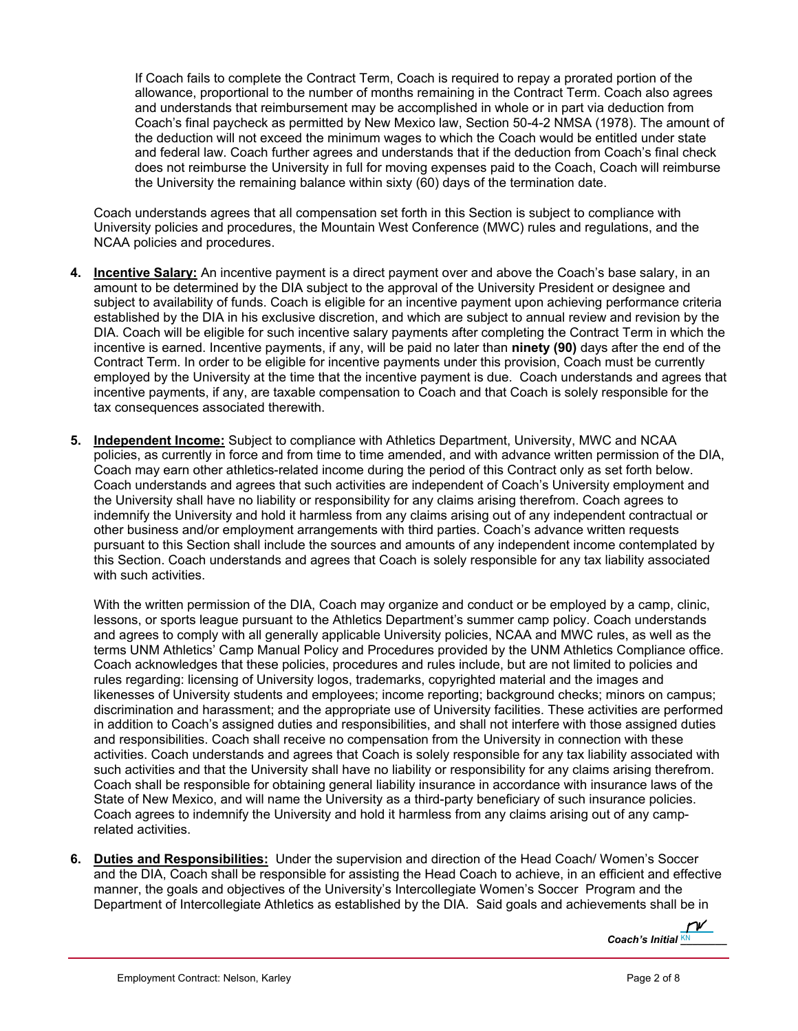If Coach fails to complete the Contract Term, Coach is required to repay a prorated portion of the allowance, proportional to the number of months remaining in the Contract Term. Coach also agrees and understands that reimbursement may be accomplished in whole or in part via deduction from Coach's final paycheck as permitted by New Mexico law, Section 50-4-2 NMSA (1978). The amount of the deduction will not exceed the minimum wages to which the Coach would be entitled under state and federal law. Coach further agrees and understands that if the deduction from Coach's final check does not reimburse the University in full for moving expenses paid to the Coach, Coach will reimburse the University the remaining balance within sixty (60) days of the termination date.

Coach understands agrees that all compensation set forth in this Section is subject to compliance with University policies and procedures, the Mountain West Conference (MWC) rules and regulations, and the NCAA policies and procedures.

- **4. Incentive Salary:** An incentive payment is a direct payment over and above the Coach's base salary, in an amount to be determined by the DIA subject to the approval of the University President or designee and subject to availability of funds. Coach is eligible for an incentive payment upon achieving performance criteria established by the DIA in his exclusive discretion, and which are subject to annual review and revision by the DIA. Coach will be eligible for such incentive salary payments after completing the Contract Term in which the incentive is earned. Incentive payments, if any, will be paid no later than **ninety (90)** days after the end of the Contract Term. In order to be eligible for incentive payments under this provision, Coach must be currently employed by the University at the time that the incentive payment is due. Coach understands and agrees that incentive payments, if any, are taxable compensation to Coach and that Coach is solely responsible for the tax consequences associated therewith.
- **5. Independent Income:** Subject to compliance with Athletics Department, University, MWC and NCAA policies, as currently in force and from time to time amended, and with advance written permission of the DIA, Coach may earn other athletics-related income during the period of this Contract only as set forth below. Coach understands and agrees that such activities are independent of Coach's University employment and the University shall have no liability or responsibility for any claims arising therefrom. Coach agrees to indemnify the University and hold it harmless from any claims arising out of any independent contractual or other business and/or employment arrangements with third parties. Coach's advance written requests pursuant to this Section shall include the sources and amounts of any independent income contemplated by this Section. Coach understands and agrees that Coach is solely responsible for any tax liability associated with such activities.

With the written permission of the DIA, Coach may organize and conduct or be employed by a camp, clinic, lessons, or sports league pursuant to the Athletics Department's summer camp policy. Coach understands and agrees to comply with all generally applicable University policies, NCAA and MWC rules, as well as the terms UNM Athletics' Camp Manual Policy and Procedures provided by the UNM Athletics Compliance office. Coach acknowledges that these policies, procedures and rules include, but are not limited to policies and rules regarding: licensing of University logos, trademarks, copyrighted material and the images and likenesses of University students and employees; income reporting; background checks; minors on campus; discrimination and harassment; and the appropriate use of University facilities. These activities are performed in addition to Coach's assigned duties and responsibilities, and shall not interfere with those assigned duties and responsibilities. Coach shall receive no compensation from the University in connection with these activities. Coach understands and agrees that Coach is solely responsible for any tax liability associated with such activities and that the University shall have no liability or responsibility for any claims arising therefrom. Coach shall be responsible for obtaining general liability insurance in accordance with insurance laws of the State of New Mexico, and will name the University as a third-party beneficiary of such insurance policies. Coach agrees to indemnify the University and hold it harmless from any claims arising out of any camprelated activities.

**6. Duties and Responsibilities:** Under the supervision and direction of the Head Coach/ Women's Soccer and the DIA, Coach shall be responsible for assisting the Head Coach to achieve, in an efficient and effective manner, the goals and objectives of the University's Intercollegiate Women's Soccer Program and the Department of Intercollegiate Athletics as established by the DIA. Said goals and achievements shall be in

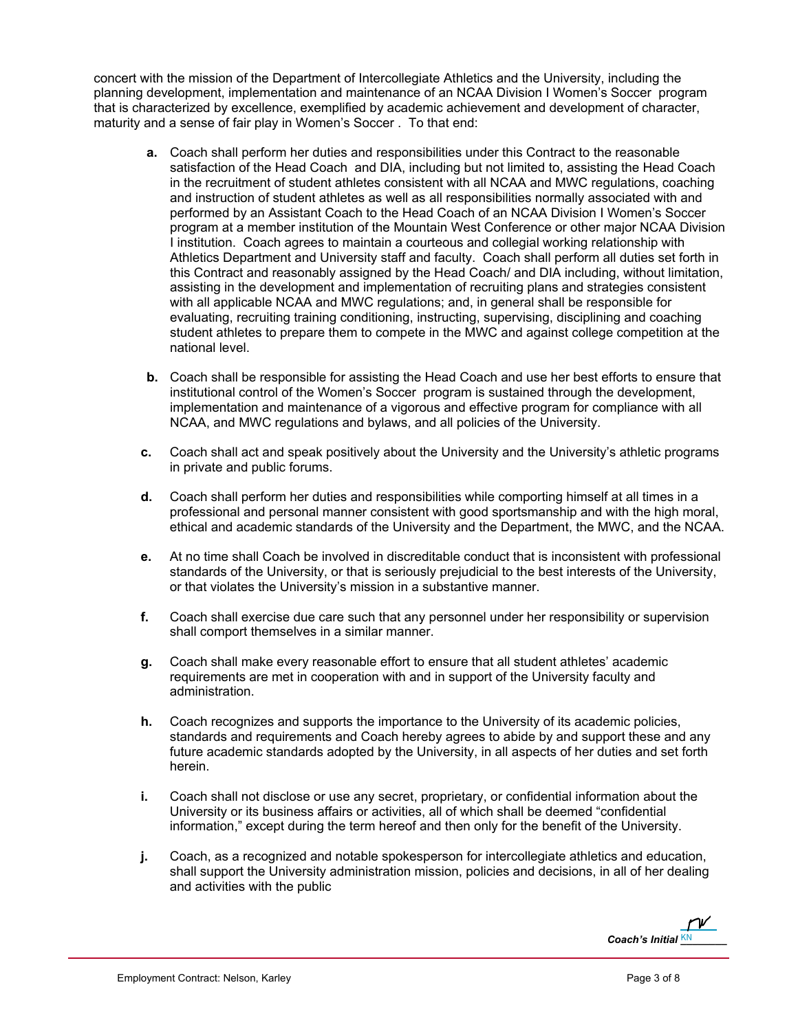concert with the mission of the Department of Intercollegiate Athletics and the University, including the planning development, implementation and maintenance of an NCAA Division I Women's Soccer program that is characterized by excellence, exemplified by academic achievement and development of character, maturity and a sense of fair play in Women's Soccer . To that end:

- **a.** Coach shall perform her duties and responsibilities under this Contract to the reasonable satisfaction of the Head Coach and DIA, including but not limited to, assisting the Head Coach in the recruitment of student athletes consistent with all NCAA and MWC regulations, coaching and instruction of student athletes as well as all responsibilities normally associated with and performed by an Assistant Coach to the Head Coach of an NCAA Division I Women's Soccer program at a member institution of the Mountain West Conference or other major NCAA Division I institution. Coach agrees to maintain a courteous and collegial working relationship with Athletics Department and University staff and faculty. Coach shall perform all duties set forth in this Contract and reasonably assigned by the Head Coach/ and DIA including, without limitation, assisting in the development and implementation of recruiting plans and strategies consistent with all applicable NCAA and MWC regulations; and, in general shall be responsible for evaluating, recruiting training conditioning, instructing, supervising, disciplining and coaching student athletes to prepare them to compete in the MWC and against college competition at the national level.
- **b.** Coach shall be responsible for assisting the Head Coach and use her best efforts to ensure that institutional control of the Women's Soccer program is sustained through the development, implementation and maintenance of a vigorous and effective program for compliance with all NCAA, and MWC regulations and bylaws, and all policies of the University.
- **c.** Coach shall act and speak positively about the University and the University's athletic programs in private and public forums.
- **d.** Coach shall perform her duties and responsibilities while comporting himself at all times in a professional and personal manner consistent with good sportsmanship and with the high moral, ethical and academic standards of the University and the Department, the MWC, and the NCAA.
- **e.** At no time shall Coach be involved in discreditable conduct that is inconsistent with professional standards of the University, or that is seriously prejudicial to the best interests of the University, or that violates the University's mission in a substantive manner.
- **f.** Coach shall exercise due care such that any personnel under her responsibility or supervision shall comport themselves in a similar manner.
- **g.** Coach shall make every reasonable effort to ensure that all student athletes' academic requirements are met in cooperation with and in support of the University faculty and administration.
- **h.** Coach recognizes and supports the importance to the University of its academic policies, standards and requirements and Coach hereby agrees to abide by and support these and any future academic standards adopted by the University, in all aspects of her duties and set forth herein.
- **i.** Coach shall not disclose or use any secret, proprietary, or confidential information about the University or its business affairs or activities, all of which shall be deemed "confidential information," except during the term hereof and then only for the benefit of the University.
- **j.** Coach, as a recognized and notable spokesperson for intercollegiate athletics and education, shall support the University administration mission, policies and decisions, in all of her dealing and activities with the public

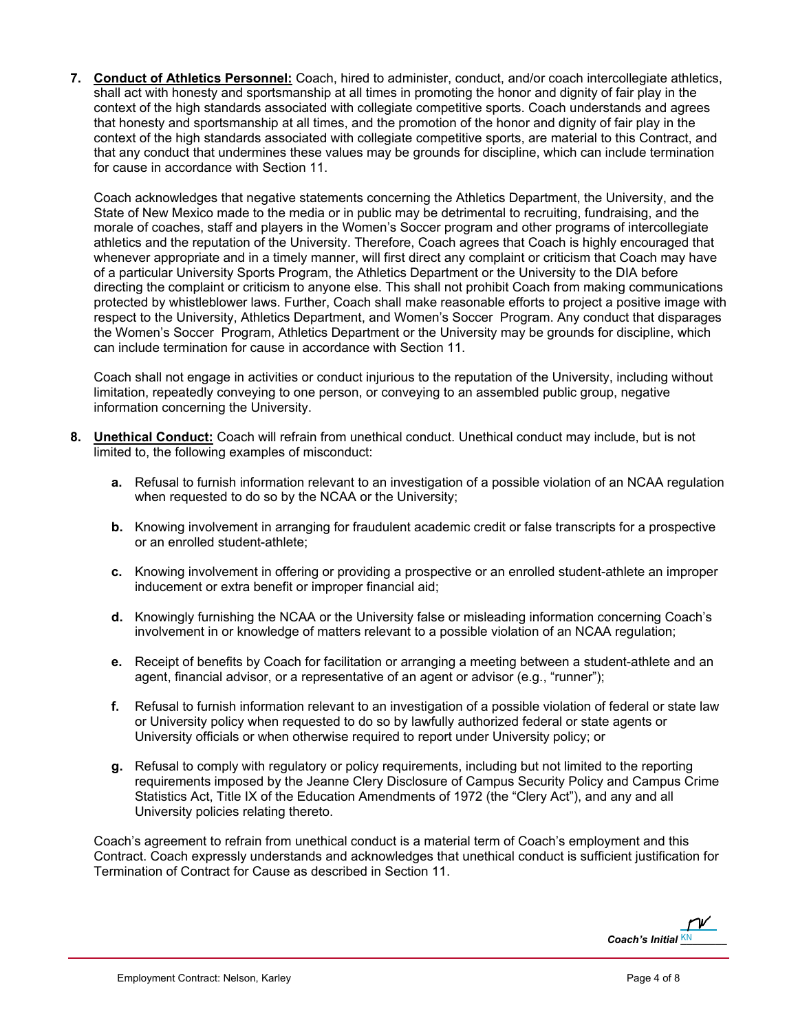**7. Conduct of Athletics Personnel:** Coach, hired to administer, conduct, and/or coach intercollegiate athletics, shall act with honesty and sportsmanship at all times in promoting the honor and dignity of fair play in the context of the high standards associated with collegiate competitive sports. Coach understands and agrees that honesty and sportsmanship at all times, and the promotion of the honor and dignity of fair play in the context of the high standards associated with collegiate competitive sports, are material to this Contract, and that any conduct that undermines these values may be grounds for discipline, which can include termination for cause in accordance with Section 11.

Coach acknowledges that negative statements concerning the Athletics Department, the University, and the State of New Mexico made to the media or in public may be detrimental to recruiting, fundraising, and the morale of coaches, staff and players in the Women's Soccer program and other programs of intercollegiate athletics and the reputation of the University. Therefore, Coach agrees that Coach is highly encouraged that whenever appropriate and in a timely manner, will first direct any complaint or criticism that Coach may have of a particular University Sports Program, the Athletics Department or the University to the DIA before directing the complaint or criticism to anyone else. This shall not prohibit Coach from making communications protected by whistleblower laws. Further, Coach shall make reasonable efforts to project a positive image with respect to the University, Athletics Department, and Women's Soccer Program. Any conduct that disparages the Women's Soccer Program, Athletics Department or the University may be grounds for discipline, which can include termination for cause in accordance with Section 11.

Coach shall not engage in activities or conduct injurious to the reputation of the University, including without limitation, repeatedly conveying to one person, or conveying to an assembled public group, negative information concerning the University.

- **8. Unethical Conduct:** Coach will refrain from unethical conduct. Unethical conduct may include, but is not limited to, the following examples of misconduct:
	- **a.** Refusal to furnish information relevant to an investigation of a possible violation of an NCAA regulation when requested to do so by the NCAA or the University;
	- **b.** Knowing involvement in arranging for fraudulent academic credit or false transcripts for a prospective or an enrolled student-athlete;
	- **c.** Knowing involvement in offering or providing a prospective or an enrolled student-athlete an improper inducement or extra benefit or improper financial aid;
	- **d.** Knowingly furnishing the NCAA or the University false or misleading information concerning Coach's involvement in or knowledge of matters relevant to a possible violation of an NCAA regulation;
	- **e.** Receipt of benefits by Coach for facilitation or arranging a meeting between a student-athlete and an agent, financial advisor, or a representative of an agent or advisor (e.g., "runner");
	- **f.** Refusal to furnish information relevant to an investigation of a possible violation of federal or state law or University policy when requested to do so by lawfully authorized federal or state agents or University officials or when otherwise required to report under University policy; or
	- **g.** Refusal to comply with regulatory or policy requirements, including but not limited to the reporting requirements imposed by the Jeanne Clery Disclosure of Campus Security Policy and Campus Crime Statistics Act, Title IX of the Education Amendments of 1972 (the "Clery Act"), and any and all University policies relating thereto.

Coach's agreement to refrain from unethical conduct is a material term of Coach's employment and this Contract. Coach expressly understands and acknowledges that unethical conduct is sufficient justification for Termination of Contract for Cause as described in Section 11.

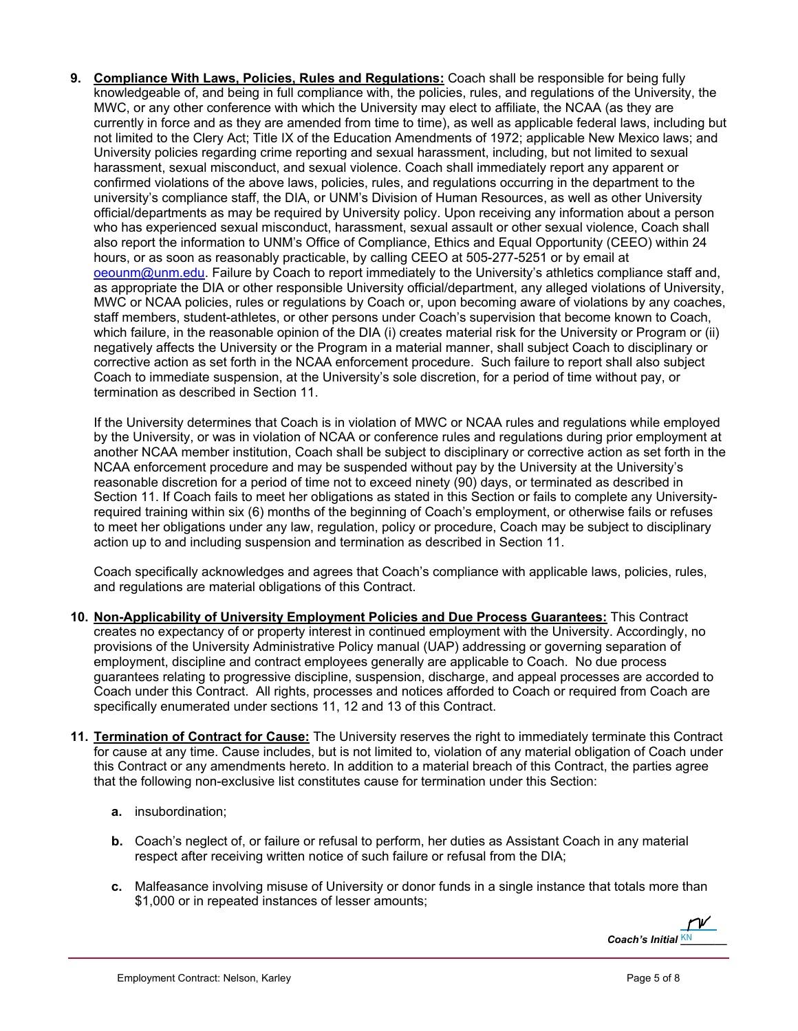**9. Compliance With Laws, Policies, Rules and Regulations:** Coach shall be responsible for being fully knowledgeable of, and being in full compliance with, the policies, rules, and regulations of the University, the MWC, or any other conference with which the University may elect to affiliate, the NCAA (as they are currently in force and as they are amended from time to time), as well as applicable federal laws, including but not limited to the Clery Act; Title IX of the Education Amendments of 1972; applicable New Mexico laws; and University policies regarding crime reporting and sexual harassment, including, but not limited to sexual harassment, sexual misconduct, and sexual violence. Coach shall immediately report any apparent or confirmed violations of the above laws, policies, rules, and regulations occurring in the department to the university's compliance staff, the DIA, or UNM's Division of Human Resources, as well as other University official/departments as may be required by University policy. Upon receiving any information about a person who has experienced sexual misconduct, harassment, sexual assault or other sexual violence, Coach shall also report the information to UNM's Office of Compliance, Ethics and Equal Opportunity (CEEO) within 24 hours, or as soon as reasonably practicable, by calling CEEO at 505-277-5251 or by email at oeounm@unm.edu. Failure by Coach to report immediately to the University's athletics compliance staff and, as appropriate the DIA or other responsible University official/department, any alleged violations of University, MWC or NCAA policies, rules or regulations by Coach or, upon becoming aware of violations by any coaches, staff members, student-athletes, or other persons under Coach's supervision that become known to Coach, which failure, in the reasonable opinion of the DIA (i) creates material risk for the University or Program or (ii) negatively affects the University or the Program in a material manner, shall subject Coach to disciplinary or corrective action as set forth in the NCAA enforcement procedure. Such failure to report shall also subject Coach to immediate suspension, at the University's sole discretion, for a period of time without pay, or termination as described in Section 11.

If the University determines that Coach is in violation of MWC or NCAA rules and regulations while employed by the University, or was in violation of NCAA or conference rules and regulations during prior employment at another NCAA member institution, Coach shall be subject to disciplinary or corrective action as set forth in the NCAA enforcement procedure and may be suspended without pay by the University at the University's reasonable discretion for a period of time not to exceed ninety (90) days, or terminated as described in Section 11. If Coach fails to meet her obligations as stated in this Section or fails to complete any Universityrequired training within six (6) months of the beginning of Coach's employment, or otherwise fails or refuses to meet her obligations under any law, regulation, policy or procedure, Coach may be subject to disciplinary action up to and including suspension and termination as described in Section 11.

Coach specifically acknowledges and agrees that Coach's compliance with applicable laws, policies, rules, and regulations are material obligations of this Contract.

- **10. Non-Applicability of University Employment Policies and Due Process Guarantees:** This Contract creates no expectancy of or property interest in continued employment with the University. Accordingly, no provisions of the University Administrative Policy manual (UAP) addressing or governing separation of employment, discipline and contract employees generally are applicable to Coach. No due process guarantees relating to progressive discipline, suspension, discharge, and appeal processes are accorded to Coach under this Contract. All rights, processes and notices afforded to Coach or required from Coach are specifically enumerated under sections 11, 12 and 13 of this Contract.
- **11. Termination of Contract for Cause:** The University reserves the right to immediately terminate this Contract for cause at any time. Cause includes, but is not limited to, violation of any material obligation of Coach under this Contract or any amendments hereto. In addition to a material breach of this Contract, the parties agree that the following non-exclusive list constitutes cause for termination under this Section:
	- **a.** insubordination;
	- **b.** Coach's neglect of, or failure or refusal to perform, her duties as Assistant Coach in any material respect after receiving written notice of such failure or refusal from the DIA;
	- **c.** Malfeasance involving misuse of University or donor funds in a single instance that totals more than \$1,000 or in repeated instances of lesser amounts;

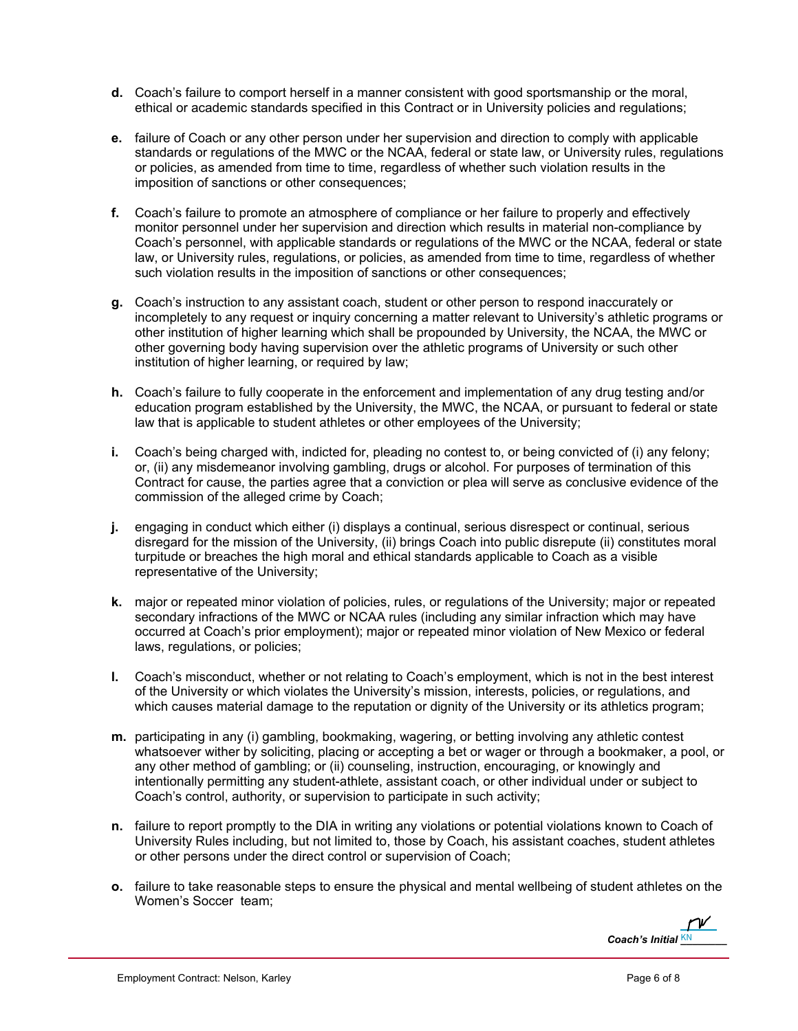- **d.** Coach's failure to comport herself in a manner consistent with good sportsmanship or the moral, ethical or academic standards specified in this Contract or in University policies and regulations;
- **e.** failure of Coach or any other person under her supervision and direction to comply with applicable standards or regulations of the MWC or the NCAA, federal or state law, or University rules, regulations or policies, as amended from time to time, regardless of whether such violation results in the imposition of sanctions or other consequences;
- **f.** Coach's failure to promote an atmosphere of compliance or her failure to properly and effectively monitor personnel under her supervision and direction which results in material non-compliance by Coach's personnel, with applicable standards or regulations of the MWC or the NCAA, federal or state law, or University rules, regulations, or policies, as amended from time to time, regardless of whether such violation results in the imposition of sanctions or other consequences;
- **g.** Coach's instruction to any assistant coach, student or other person to respond inaccurately or incompletely to any request or inquiry concerning a matter relevant to University's athletic programs or other institution of higher learning which shall be propounded by University, the NCAA, the MWC or other governing body having supervision over the athletic programs of University or such other institution of higher learning, or required by law;
- **h.** Coach's failure to fully cooperate in the enforcement and implementation of any drug testing and/or education program established by the University, the MWC, the NCAA, or pursuant to federal or state law that is applicable to student athletes or other employees of the University;
- **i.** Coach's being charged with, indicted for, pleading no contest to, or being convicted of (i) any felony; or, (ii) any misdemeanor involving gambling, drugs or alcohol. For purposes of termination of this Contract for cause, the parties agree that a conviction or plea will serve as conclusive evidence of the commission of the alleged crime by Coach;
- **j.** engaging in conduct which either (i) displays a continual, serious disrespect or continual, serious disregard for the mission of the University, (ii) brings Coach into public disrepute (ii) constitutes moral turpitude or breaches the high moral and ethical standards applicable to Coach as a visible representative of the University;
- **k.** major or repeated minor violation of policies, rules, or regulations of the University; major or repeated secondary infractions of the MWC or NCAA rules (including any similar infraction which may have occurred at Coach's prior employment); major or repeated minor violation of New Mexico or federal laws, regulations, or policies;
- **l.** Coach's misconduct, whether or not relating to Coach's employment, which is not in the best interest of the University or which violates the University's mission, interests, policies, or regulations, and which causes material damage to the reputation or dignity of the University or its athletics program;
- **m.** participating in any (i) gambling, bookmaking, wagering, or betting involving any athletic contest whatsoever wither by soliciting, placing or accepting a bet or wager or through a bookmaker, a pool, or any other method of gambling; or (ii) counseling, instruction, encouraging, or knowingly and intentionally permitting any student-athlete, assistant coach, or other individual under or subject to Coach's control, authority, or supervision to participate in such activity;
- **n.** failure to report promptly to the DIA in writing any violations or potential violations known to Coach of University Rules including, but not limited to, those by Coach, his assistant coaches, student athletes or other persons under the direct control or supervision of Coach;
- **o.** failure to take reasonable steps to ensure the physical and mental wellbeing of student athletes on the Women's Soccer team;

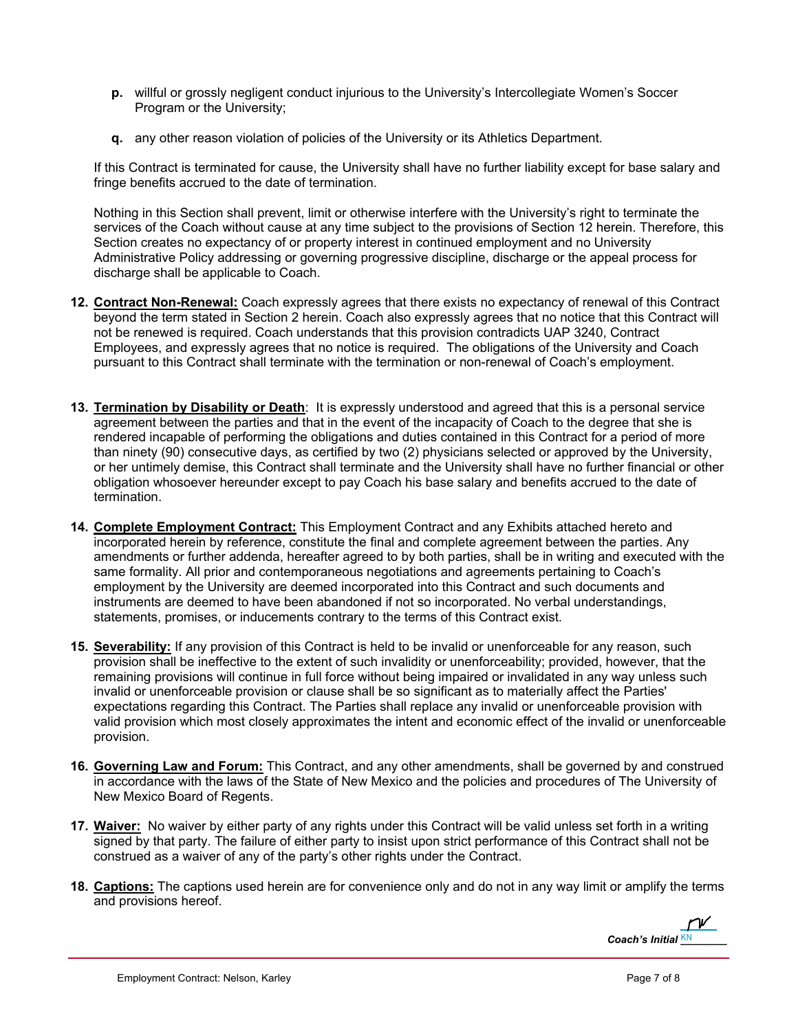- **p.** willful or grossly negligent conduct injurious to the University's Intercollegiate Women's Soccer Program or the University;
- **q.** any other reason violation of policies of the University or its Athletics Department.

If this Contract is terminated for cause, the University shall have no further liability except for base salary and fringe benefits accrued to the date of termination.

Nothing in this Section shall prevent, limit or otherwise interfere with the University's right to terminate the services of the Coach without cause at any time subject to the provisions of Section 12 herein. Therefore, this Section creates no expectancy of or property interest in continued employment and no University Administrative Policy addressing or governing progressive discipline, discharge or the appeal process for discharge shall be applicable to Coach.

- **12. Contract Non-Renewal:** Coach expressly agrees that there exists no expectancy of renewal of this Contract beyond the term stated in Section 2 herein. Coach also expressly agrees that no notice that this Contract will not be renewed is required. Coach understands that this provision contradicts UAP 3240, Contract Employees, and expressly agrees that no notice is required. The obligations of the University and Coach pursuant to this Contract shall terminate with the termination or non-renewal of Coach's employment.
- **13. Termination by Disability or Death**: It is expressly understood and agreed that this is a personal service agreement between the parties and that in the event of the incapacity of Coach to the degree that she is rendered incapable of performing the obligations and duties contained in this Contract for a period of more than ninety (90) consecutive days, as certified by two (2) physicians selected or approved by the University, or her untimely demise, this Contract shall terminate and the University shall have no further financial or other obligation whosoever hereunder except to pay Coach his base salary and benefits accrued to the date of termination.
- **14. Complete Employment Contract:** This Employment Contract and any Exhibits attached hereto and incorporated herein by reference, constitute the final and complete agreement between the parties. Any amendments or further addenda, hereafter agreed to by both parties, shall be in writing and executed with the same formality. All prior and contemporaneous negotiations and agreements pertaining to Coach's employment by the University are deemed incorporated into this Contract and such documents and instruments are deemed to have been abandoned if not so incorporated. No verbal understandings, statements, promises, or inducements contrary to the terms of this Contract exist.
- **15. Severability:** If any provision of this Contract is held to be invalid or unenforceable for any reason, such provision shall be ineffective to the extent of such invalidity or unenforceability; provided, however, that the remaining provisions will continue in full force without being impaired or invalidated in any way unless such invalid or unenforceable provision or clause shall be so significant as to materially affect the Parties' expectations regarding this Contract. The Parties shall replace any invalid or unenforceable provision with valid provision which most closely approximates the intent and economic effect of the invalid or unenforceable provision.
- **16. Governing Law and Forum:** This Contract, and any other amendments, shall be governed by and construed in accordance with the laws of the State of New Mexico and the policies and procedures of The University of New Mexico Board of Regents.
- **17. Waiver:** No waiver by either party of any rights under this Contract will be valid unless set forth in a writing signed by that party. The failure of either party to insist upon strict performance of this Contract shall not be construed as a waiver of any of the party's other rights under the Contract.
- **18. Captions:** The captions used herein are for convenience only and do not in any way limit or amplify the terms and provisions hereof.